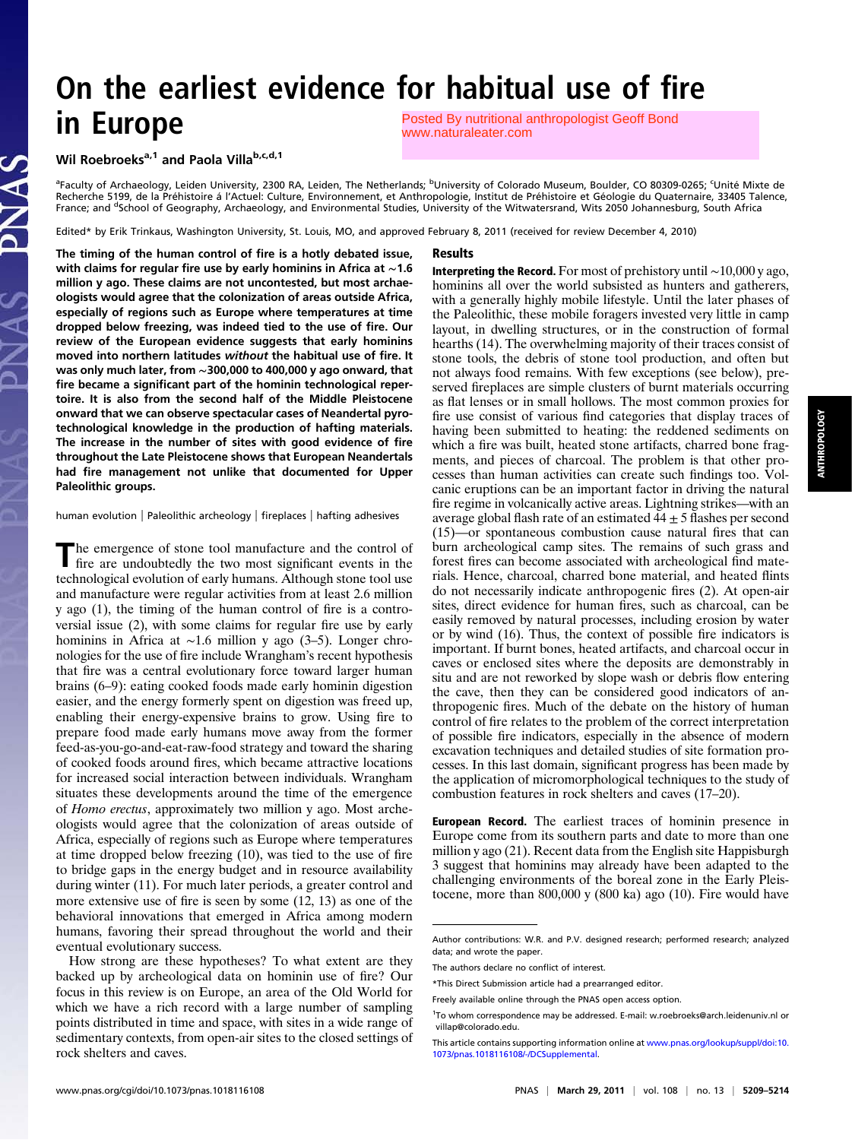# On the earliest evidence for habitual use of fire in Europe [Posted By nutritional anthropologist Geoff Bond](http://www.naturaleater.com)  www.naturaleater.com

## Wil Roebroeks<sup>a,1</sup> and Paola Villa<sup>b,c,d,1</sup>

<sup>a</sup>Faculty of Archaeology, Leiden University, 2300 RA, Leiden, The Netherlands; <sup>b</sup>University of Colorado Museum, Boulder, CO 80309-0265; <sup>c</sup>Unité Mixte de<br>Recherche 5199, de la Préhistoire á l'Actuel: Culture, Environneme France; and <sup>d</sup>School of Geography, Archaeology, and Environmental Studies, University of the Witwatersrand, Wits 2050 Johannesburg, South Africa

Edited\* by Erik Trinkaus, Washington University, St. Louis, MO, and approved February 8, 2011 (received for review December 4, 2010)

#### Results

The timing of the human control of fire is a hotly debated issue, with claims for regular fire use by early hominins in Africa at ∼1.6 million y ago. These claims are not uncontested, but most archaeologists would agree that the colonization of areas outside Africa, especially of regions such as Europe where temperatures at time dropped below freezing, was indeed tied to the use of fire. Our review of the European evidence suggests that early hominins moved into northern latitudes without the habitual use of fire. It was only much later, from ∼300,000 to 400,000 y ago onward, that fire became a significant part of the hominin technological repertoire. It is also from the second half of the Middle Pleistocene onward that we can observe spectacular cases of Neandertal pyrotechnological knowledge in the production of hafting materials. The increase in the number of sites with good evidence of fire throughout the Late Pleistocene shows that European Neandertals had fire management not unlike that documented for Upper Paleolithic groups.

human evolution | Paleolithic archeology | fireplaces | hafting adhesives

The emergence of stone tool manufacture and the control of fire are undoubtedly the two most significant events in the fire are undoubtedly the two most significant events in the technological evolution of early humans. Although stone tool use and manufacture were regular activities from at least 2.6 million y ago (1), the timing of the human control of fire is a controversial issue (2), with some claims for regular fire use by early hominins in Africa at ∼1.6 million y ago (3–5). Longer chronologies for the use of fire include Wrangham's recent hypothesis that fire was a central evolutionary force toward larger human brains (6–9): eating cooked foods made early hominin digestion easier, and the energy formerly spent on digestion was freed up, enabling their energy-expensive brains to grow. Using fire to prepare food made early humans move away from the former feed-as-you-go-and-eat-raw-food strategy and toward the sharing of cooked foods around fires, which became attractive locations for increased social interaction between individuals. Wrangham situates these developments around the time of the emergence of Homo erectus, approximately two million y ago. Most archeologists would agree that the colonization of areas outside of Africa, especially of regions such as Europe where temperatures at time dropped below freezing (10), was tied to the use of fire to bridge gaps in the energy budget and in resource availability during winter (11). For much later periods, a greater control and more extensive use of fire is seen by some (12, 13) as one of the behavioral innovations that emerged in Africa among modern humans, favoring their spread throughout the world and their eventual evolutionary success.

How strong are these hypotheses? To what extent are they backed up by archeological data on hominin use of fire? Our focus in this review is on Europe, an area of the Old World for which we have a rich record with a large number of sampling points distributed in time and space, with sites in a wide range of sedimentary contexts, from open-air sites to the closed settings of rock shelters and caves.

the Paleolithic, these mobile foragers invested very little in camp layout, in dwelling structures, or in the construction of formal hearths (14). The overwhelming majority of their traces consist of stone tools, the debris of stone tool production, and often but not always food remains. With few exceptions (see below), preserved fireplaces are simple clusters of burnt materials occurring as flat lenses or in small hollows. The most common proxies for fire use consist of various find categories that display traces of having been submitted to heating: the reddened sediments on which a fire was built, heated stone artifacts, charred bone fragments, and pieces of charcoal. The problem is that other processes than human activities can create such findings too. Volcanic eruptions can be an important factor in driving the natural fire regime in volcanically active areas. Lightning strikes—with an average global flash rate of an estimated  $44 \pm 5$  flashes per second (15)—or spontaneous combustion cause natural fires that can burn archeological camp sites. The remains of such grass and forest fires can become associated with archeological find materials. Hence, charcoal, charred bone material, and heated flints do not necessarily indicate anthropogenic fires (2). At open-air sites, direct evidence for human fires, such as charcoal, can be easily removed by natural processes, including erosion by water or by wind (16). Thus, the context of possible fire indicators is important. If burnt bones, heated artifacts, and charcoal occur in caves or enclosed sites where the deposits are demonstrably in situ and are not reworked by slope wash or debris flow entering the cave, then they can be considered good indicators of an-

Interpreting the Record. For most of prehistory until ∼10,000 y ago, hominins all over the world subsisted as hunters and gatherers, with a generally highly mobile lifestyle. Until the later phases of

thropogenic fires. Much of the debate on the history of human control of fire relates to the problem of the correct interpretation of possible fire indicators, especially in the absence of modern excavation techniques and detailed studies of site formation processes. In this last domain, significant progress has been made by the application of micromorphological techniques to the study of combustion features in rock shelters and caves (17–20).

European Record. The earliest traces of hominin presence in Europe come from its southern parts and date to more than one million y ago (21). Recent data from the English site Happisburgh 3 suggest that hominins may already have been adapted to the challenging environments of the boreal zone in the Early Pleistocene, more than 800,000 y (800 ka) ago (10). Fire would have

Author contributions: W.R. and P.V. designed research; performed research; analyzed data; and wrote the paper.

The authors declare no conflict of interest.

<sup>\*</sup>This Direct Submission article had a prearranged editor.

Freely available online through the PNAS open access option.

<sup>1</sup> To whom correspondence may be addressed. E-mail: [w.roebroeks@arch.leidenuniv.nl](mailto:w.roebroeks@arch.leidenuniv.nl) or [villap@colorado.edu](mailto:villap@colorado.edu).

This article contains supporting information online at [www.pnas.org/lookup/suppl/doi:10.](http://www.pnas.org/lookup/suppl/doi:10.1073/pnas.1018116108/-/DCSupplemental) [1073/pnas.1018116108/-/DCSupplemental](http://www.pnas.org/lookup/suppl/doi:10.1073/pnas.1018116108/-/DCSupplemental).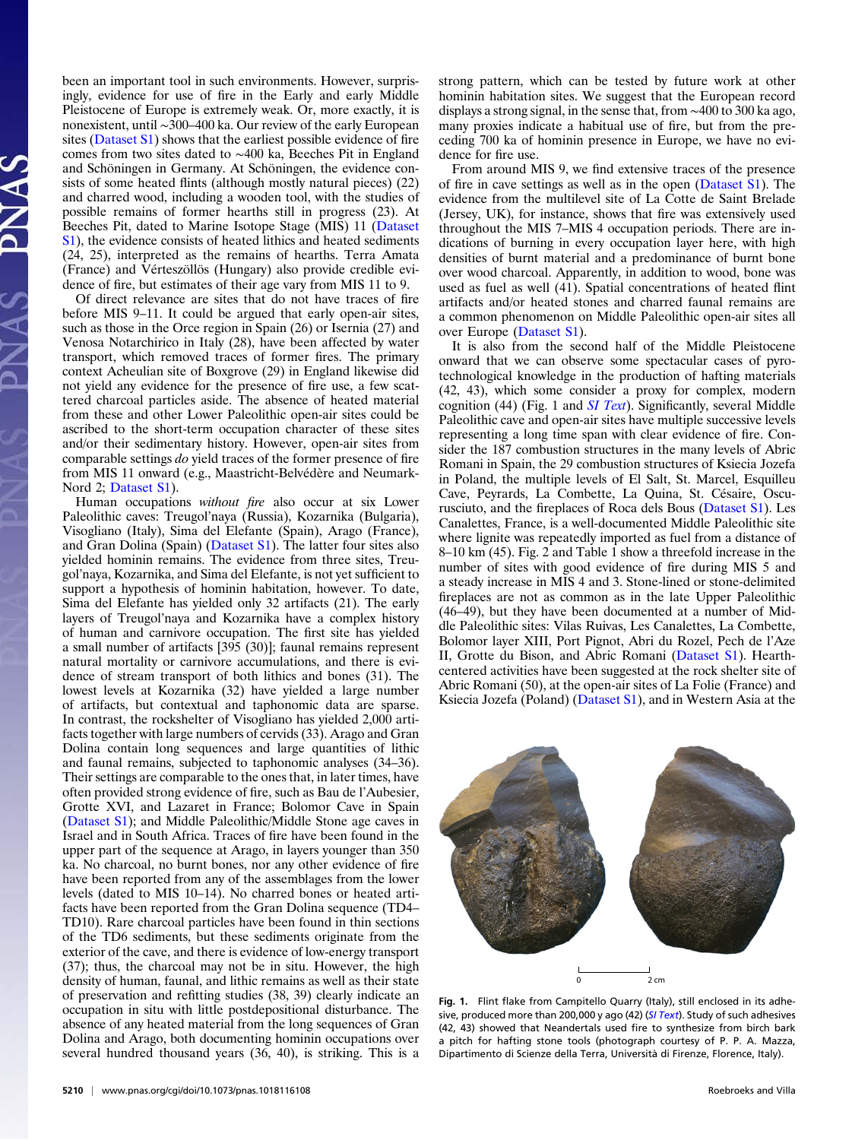been an important tool in such environments. However, surprisingly, evidence for use of fire in the Early and early Middle Pleistocene of Europe is extremely weak. Or, more exactly, it is nonexistent, until ∼300–400 ka. Our review of the early European sites ([Dataset S1\)](http://www.pnas.org/lookup/suppl/doi:10.1073/pnas.1018116108/-/DCSupplemental/sd01.doc) shows that the earliest possible evidence of fire comes from two sites dated to ∼400 ka, Beeches Pit in England and Schöningen in Germany. At Schöningen, the evidence consists of some heated flints (although mostly natural pieces) (22) and charred wood, including a wooden tool, with the studies of possible remains of former hearths still in progress (23). At Beeches Pit, dated to Marine Isotope Stage (MIS) 11 ([Dataset](http://www.pnas.org/lookup/suppl/doi:10.1073/pnas.1018116108/-/DCSupplemental/sd01.doc) [S1](http://www.pnas.org/lookup/suppl/doi:10.1073/pnas.1018116108/-/DCSupplemental/sd01.doc)), the evidence consists of heated lithics and heated sediments (24, 25), interpreted as the remains of hearths. Terra Amata (France) and Vérteszöllös (Hungary) also provide credible evidence of fire, but estimates of their age vary from MIS 11 to 9.

Of direct relevance are sites that do not have traces of fire before MIS 9–11. It could be argued that early open-air sites, such as those in the Orce region in Spain (26) or Isernia (27) and Venosa Notarchirico in Italy (28), have been affected by water transport, which removed traces of former fires. The primary context Acheulian site of Boxgrove (29) in England likewise did not yield any evidence for the presence of fire use, a few scattered charcoal particles aside. The absence of heated material from these and other Lower Paleolithic open-air sites could be ascribed to the short-term occupation character of these sites and/or their sedimentary history. However, open-air sites from comparable settings do yield traces of the former presence of fire from MIS 11 onward (e.g., Maastricht-Belvédère and Neumark-Nord 2; [Dataset S1](http://www.pnas.org/lookup/suppl/doi:10.1073/pnas.1018116108/-/DCSupplemental/sd01.doc)).

Human occupations without fire also occur at six Lower Paleolithic caves: Treugol'naya (Russia), Kozarnika (Bulgaria), Visogliano (Italy), Sima del Elefante (Spain), Arago (France), and Gran Dolina (Spain) ([Dataset S1](http://www.pnas.org/lookup/suppl/doi:10.1073/pnas.1018116108/-/DCSupplemental/sd01.doc)). The latter four sites also yielded hominin remains. The evidence from three sites, Treugol'naya, Kozarnika, and Sima del Elefante, is not yet sufficient to support a hypothesis of hominin habitation, however. To date, Sima del Elefante has yielded only 32 artifacts (21). The early layers of Treugol'naya and Kozarnika have a complex history of human and carnivore occupation. The first site has yielded a small number of artifacts [395 (30)]; faunal remains represent natural mortality or carnivore accumulations, and there is evidence of stream transport of both lithics and bones (31). The lowest levels at Kozarnika (32) have yielded a large number of artifacts, but contextual and taphonomic data are sparse. In contrast, the rockshelter of Visogliano has yielded 2,000 artifacts together with large numbers of cervids (33). Arago and Gran Dolina contain long sequences and large quantities of lithic and faunal remains, subjected to taphonomic analyses (34–36). Their settings are comparable to the ones that, in later times, have often provided strong evidence of fire, such as Bau de l'Aubesier, Grotte XVI, and Lazaret in France; Bolomor Cave in Spain [\(Dataset S1\)](http://www.pnas.org/lookup/suppl/doi:10.1073/pnas.1018116108/-/DCSupplemental/sd01.doc); and Middle Paleolithic/Middle Stone age caves in Israel and in South Africa. Traces of fire have been found in the upper part of the sequence at Arago, in layers younger than 350 ka. No charcoal, no burnt bones, nor any other evidence of fire have been reported from any of the assemblages from the lower levels (dated to MIS 10–14). No charred bones or heated artifacts have been reported from the Gran Dolina sequence (TD4– TD10). Rare charcoal particles have been found in thin sections of the TD6 sediments, but these sediments originate from the exterior of the cave, and there is evidence of low-energy transport (37); thus, the charcoal may not be in situ. However, the high density of human, faunal, and lithic remains as well as their state of preservation and refitting studies (38, 39) clearly indicate an occupation in situ with little postdepositional disturbance. The absence of any heated material from the long sequences of Gran Dolina and Arago, both documenting hominin occupations over several hundred thousand years (36, 40), is striking. This is a

5210 | <www.pnas.org/cgi/doi/10.1073/pnas.1018116108> Roebroeks and Villa

strong pattern, which can be tested by future work at other hominin habitation sites. We suggest that the European record displays a strong signal, in the sense that, from ∼400 to 300 ka ago, many proxies indicate a habitual use of fire, but from the preceding 700 ka of hominin presence in Europe, we have no evidence for fire use.

From around MIS 9, we find extensive traces of the presence of fire in cave settings as well as in the open ([Dataset S1\)](http://www.pnas.org/lookup/suppl/doi:10.1073/pnas.1018116108/-/DCSupplemental/sd01.doc). The evidence from the multilevel site of La Cotte de Saint Brelade (Jersey, UK), for instance, shows that fire was extensively used throughout the MIS 7–MIS 4 occupation periods. There are indications of burning in every occupation layer here, with high densities of burnt material and a predominance of burnt bone over wood charcoal. Apparently, in addition to wood, bone was used as fuel as well (41). Spatial concentrations of heated flint artifacts and/or heated stones and charred faunal remains are a common phenomenon on Middle Paleolithic open-air sites all over Europe ([Dataset S1\)](http://www.pnas.org/lookup/suppl/doi:10.1073/pnas.1018116108/-/DCSupplemental/sd01.doc).

It is also from the second half of the Middle Pleistocene onward that we can observe some spectacular cases of pyrotechnological knowledge in the production of hafting materials (42, 43), which some consider a proxy for complex, modern cognition (44) (Fig. 1 and  $SI$  Text). Significantly, several Middle Paleolithic cave and open-air sites have multiple successive levels representing a long time span with clear evidence of fire. Consider the 187 combustion structures in the many levels of Abric Romani in Spain, the 29 combustion structures of Ksiecia Jozefa in Poland, the multiple levels of El Salt, St. Marcel, Esquilleu Cave, Peyrards, La Combette, La Quina, St. Césaire, Oscurusciuto, and the fireplaces of Roca dels Bous [\(Dataset S1\)](http://www.pnas.org/lookup/suppl/doi:10.1073/pnas.1018116108/-/DCSupplemental/sd01.doc). Les Canalettes, France, is a well-documented Middle Paleolithic site where lignite was repeatedly imported as fuel from a distance of 8–10 km (45). Fig. 2 and Table 1 show a threefold increase in the number of sites with good evidence of fire during MIS 5 and a steady increase in MIS 4 and 3. Stone-lined or stone-delimited fireplaces are not as common as in the late Upper Paleolithic (46–49), but they have been documented at a number of Middle Paleolithic sites: Vilas Ruivas, Les Canalettes, La Combette, Bolomor layer XIII, Port Pignot, Abri du Rozel, Pech de l'Aze II, Grotte du Bison, and Abric Romani ([Dataset S1](http://www.pnas.org/lookup/suppl/doi:10.1073/pnas.1018116108/-/DCSupplemental/sd01.doc)). Hearthcentered activities have been suggested at the rock shelter site of Abric Romani (50), at the open-air sites of La Folie (France) and Ksiecia Jozefa (Poland) ([Dataset S1\)](http://www.pnas.org/lookup/suppl/doi:10.1073/pnas.1018116108/-/DCSupplemental/sd01.doc), and in Western Asia at the



Fig. 1. Flint flake from Campitello Quarry (Italy), still enclosed in its adhe-sive, produced more than 200,000 y ago (42) ([SI Text](http://www.pnas.org/lookup/suppl/doi:10.1073/pnas.1018116108/-/DCSupplemental/pnas.201018116SI.pdf?targetid=nameddest=STXT)). Study of such adhesives (42, 43) showed that Neandertals used fire to synthesize from birch bark a pitch for hafting stone tools (photograph courtesy of P. P. A. Mazza, Dipartimento di Scienze della Terra, Università di Firenze, Florence, Italy).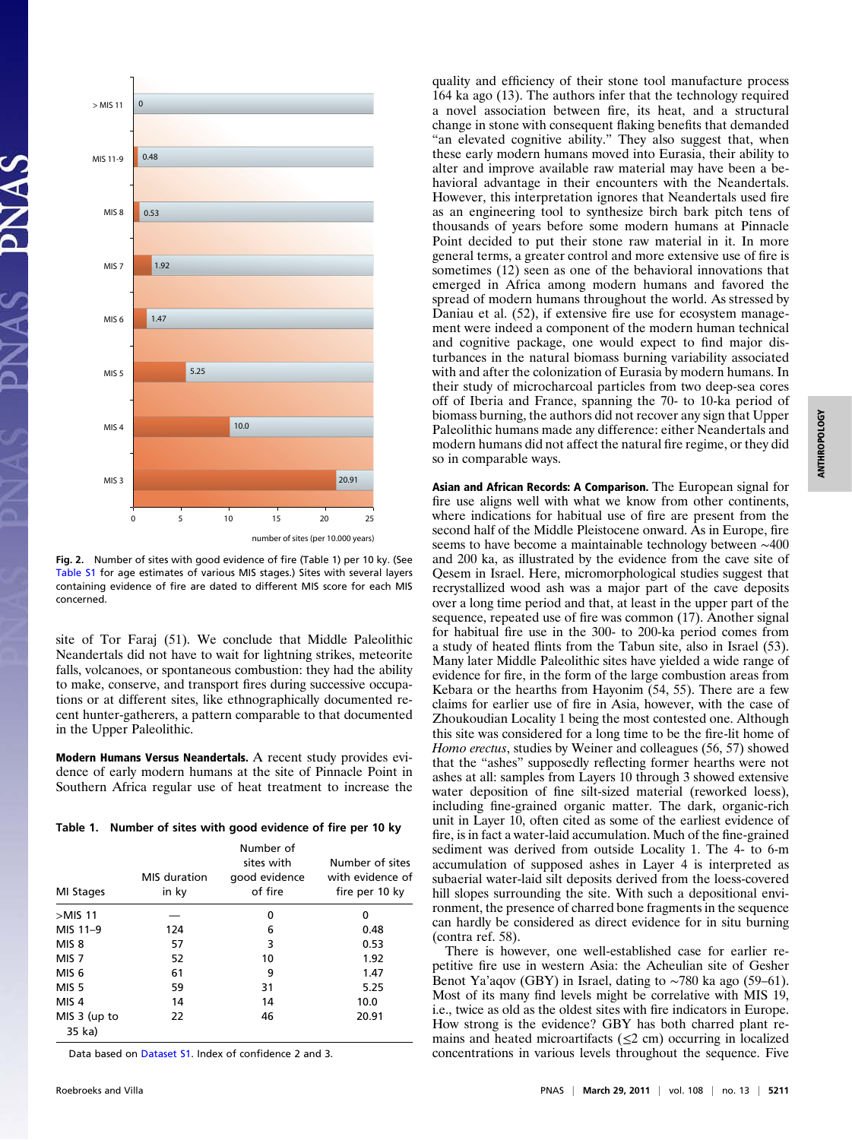

Fig. 2. Number of sites with good evidence of fire (Table 1) per 10 ky. (See [Table S1](http://www.pnas.org/lookup/suppl/doi:10.1073/pnas.1018116108/-/DCSupplemental/pnas.201018116SI.pdf?targetid=nameddest=ST1) for age estimates of various MIS stages.) Sites with several layers containing evidence of fire are dated to different MIS score for each MIS concerned.

site of Tor Faraj (51). We conclude that Middle Paleolithic Neandertals did not have to wait for lightning strikes, meteorite falls, volcanoes, or spontaneous combustion: they had the ability to make, conserve, and transport fires during successive occupations or at different sites, like ethnographically documented recent hunter-gatherers, a pattern comparable to that documented in the Upper Paleolithic.

Modern Humans Versus Neandertals. A recent study provides evidence of early modern humans at the site of Pinnacle Point in Southern Africa regular use of heat treatment to increase the

Table 1. Number of sites with good evidence of fire per 10 ky

| MI Stages              | MIS duration<br>in ky | Number of<br>sites with<br>good evidence<br>of fire | Number of sites<br>with evidence of<br>fire per 10 ky |
|------------------------|-----------------------|-----------------------------------------------------|-------------------------------------------------------|
| $>$ MIS 11             |                       | 0                                                   | 0                                                     |
| MIS 11-9               | 124                   | 6                                                   | 0.48                                                  |
| MIS 8                  | 57                    | 3                                                   | 0.53                                                  |
| MIS <sub>7</sub>       | 52                    | 10                                                  | 1.92                                                  |
| MIS <sub>6</sub>       | 61                    | 9                                                   | 1.47                                                  |
| MIS <sub>5</sub>       | 59                    | 31                                                  | 5.25                                                  |
| MIS <sub>4</sub>       | 14                    | 14                                                  | 10.0                                                  |
| MIS 3 (up to<br>35 ka) | 22                    | 46                                                  | 20.91                                                 |

Data based on [Dataset S1](http://www.pnas.org/lookup/suppl/doi:10.1073/pnas.1018116108/-/DCSupplemental/sd01.xls). Index of confidence 2 and 3.

quality and efficiency of their stone tool manufacture process 164 ka ago (13). The authors infer that the technology required a novel association between fire, its heat, and a structural change in stone with consequent flaking benefits that demanded "an elevated cognitive ability." They also suggest that, when these early modern humans moved into Eurasia, their ability to alter and improve available raw material may have been a behavioral advantage in their encounters with the Neandertals. However, this interpretation ignores that Neandertals used fire as an engineering tool to synthesize birch bark pitch tens of thousands of years before some modern humans at Pinnacle Point decided to put their stone raw material in it. In more general terms, a greater control and more extensive use of fire is sometimes (12) seen as one of the behavioral innovations that emerged in Africa among modern humans and favored the spread of modern humans throughout the world. As stressed by Daniau et al. (52), if extensive fire use for ecosystem management were indeed a component of the modern human technical and cognitive package, one would expect to find major disturbances in the natural biomass burning variability associated with and after the colonization of Eurasia by modern humans. In their study of microcharcoal particles from two deep-sea cores off of Iberia and France, spanning the 70- to 10-ka period of biomass burning, the authors did not recover any sign that Upper Paleolithic humans made any difference: either Neandertals and modern humans did not affect the natural fire regime, or they did so in comparable ways.

Asian and African Records: A Comparison. The European signal for fire use aligns well with what we know from other continents, where indications for habitual use of fire are present from the second half of the Middle Pleistocene onward. As in Europe, fire seems to have become a maintainable technology between ∼400 and 200 ka, as illustrated by the evidence from the cave site of Qesem in Israel. Here, micromorphological studies suggest that recrystallized wood ash was a major part of the cave deposits over a long time period and that, at least in the upper part of the sequence, repeated use of fire was common (17). Another signal for habitual fire use in the 300- to 200-ka period comes from a study of heated flints from the Tabun site, also in Israel (53). Many later Middle Paleolithic sites have yielded a wide range of evidence for fire, in the form of the large combustion areas from Kebara or the hearths from Hayonim (54, 55). There are a few claims for earlier use of fire in Asia, however, with the case of Zhoukoudian Locality 1 being the most contested one. Although this site was considered for a long time to be the fire-lit home of Homo erectus, studies by Weiner and colleagues (56, 57) showed that the "ashes" supposedly reflecting former hearths were not ashes at all: samples from Layers 10 through 3 showed extensive water deposition of fine silt-sized material (reworked loess), including fine-grained organic matter. The dark, organic-rich unit in Layer 10, often cited as some of the earliest evidence of fire, is in fact a water-laid accumulation. Much of the fine-grained sediment was derived from outside Locality 1. The 4- to 6-m accumulation of supposed ashes in Layer 4 is interpreted as subaerial water-laid silt deposits derived from the loess-covered hill slopes surrounding the site. With such a depositional environment, the presence of charred bone fragments in the sequence can hardly be considered as direct evidence for in situ burning (contra ref. 58).

There is however, one well-established case for earlier repetitive fire use in western Asia: the Acheulian site of Gesher Benot Ya'aqov (GBY) in Israel, dating to ∼780 ka ago (59–61). Most of its many find levels might be correlative with MIS 19, i.e., twice as old as the oldest sites with fire indicators in Europe. How strong is the evidence? GBY has both charred plant remains and heated microartifacts  $(\leq 2$  cm) occurring in localized concentrations in various levels throughout the sequence. Five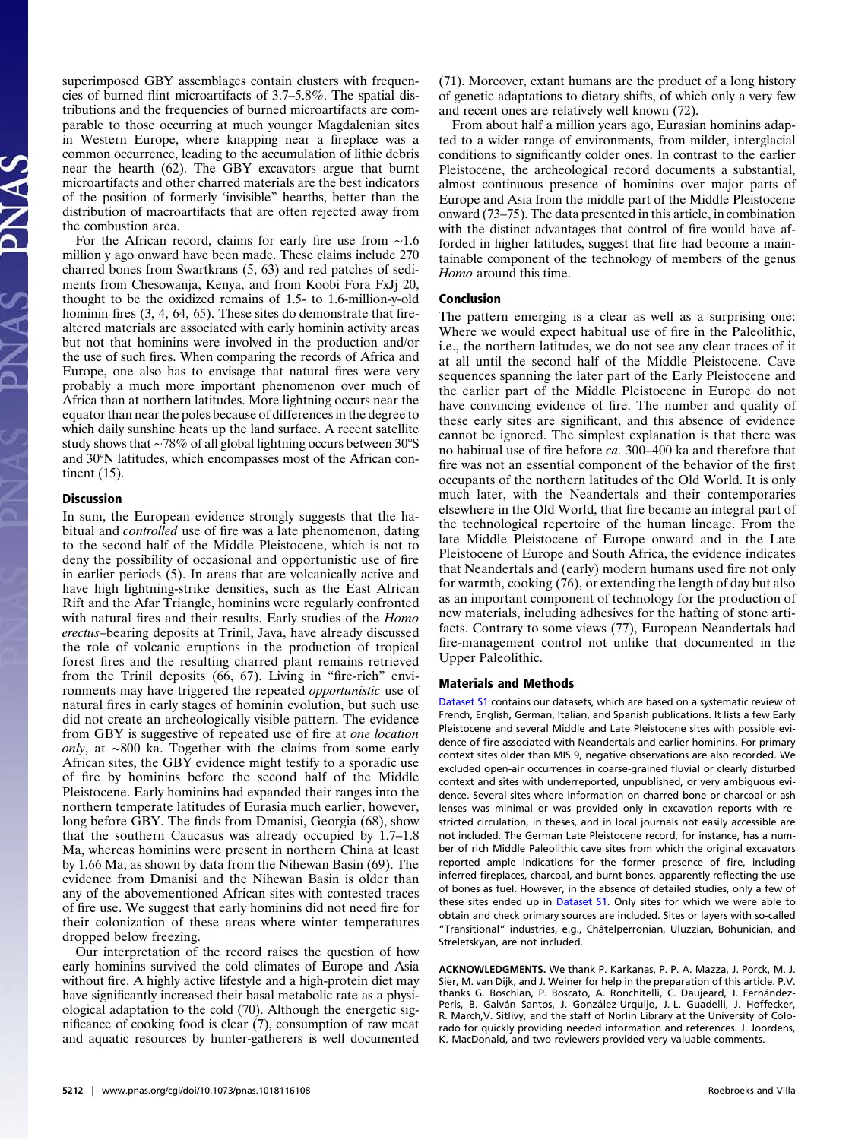superimposed GBY assemblages contain clusters with frequencies of burned flint microartifacts of 3.7–5.8%. The spatial distributions and the frequencies of burned microartifacts are comparable to those occurring at much younger Magdalenian sites in Western Europe, where knapping near a fireplace was a common occurrence, leading to the accumulation of lithic debris near the hearth (62). The GBY excavators argue that burnt microartifacts and other charred materials are the best indicators of the position of formerly 'invisible" hearths, better than the distribution of macroartifacts that are often rejected away from the combustion area.

For the African record, claims for early fire use from ∼1.6 million y ago onward have been made. These claims include 270 charred bones from Swartkrans (5, 63) and red patches of sediments from Chesowanja, Kenya, and from Koobi Fora FxJj 20, thought to be the oxidized remains of 1.5- to 1.6-million-y-old hominin fires  $(3, 4, 64, 65)$ . These sites do demonstrate that firealtered materials are associated with early hominin activity areas but not that hominins were involved in the production and/or the use of such fires. When comparing the records of Africa and Europe, one also has to envisage that natural fires were very probably a much more important phenomenon over much of Africa than at northern latitudes. More lightning occurs near the equator than near the poles because of differences in the degree to which daily sunshine heats up the land surface. A recent satellite study shows that ∼78% of all global lightning occurs between 30°S and 30°N latitudes, which encompasses most of the African continent (15).

### **Discussion**

In sum, the European evidence strongly suggests that the habitual and controlled use of fire was a late phenomenon, dating to the second half of the Middle Pleistocene, which is not to deny the possibility of occasional and opportunistic use of fire in earlier periods (5). In areas that are volcanically active and have high lightning-strike densities, such as the East African Rift and the Afar Triangle, hominins were regularly confronted with natural fires and their results. Early studies of the *Homo* erectus–bearing deposits at Trinil, Java, have already discussed the role of volcanic eruptions in the production of tropical forest fires and the resulting charred plant remains retrieved from the Trinil deposits (66, 67). Living in "fire-rich" environments may have triggered the repeated opportunistic use of natural fires in early stages of hominin evolution, but such use did not create an archeologically visible pattern. The evidence from GBY is suggestive of repeated use of fire at one location only, at ∼800 ka. Together with the claims from some early African sites, the GBY evidence might testify to a sporadic use of fire by hominins before the second half of the Middle Pleistocene. Early hominins had expanded their ranges into the northern temperate latitudes of Eurasia much earlier, however, long before GBY. The finds from Dmanisi, Georgia (68), show that the southern Caucasus was already occupied by 1.7–1.8 Ma, whereas hominins were present in northern China at least by 1.66 Ma, as shown by data from the Nihewan Basin (69). The evidence from Dmanisi and the Nihewan Basin is older than any of the abovementioned African sites with contested traces of fire use. We suggest that early hominins did not need fire for their colonization of these areas where winter temperatures dropped below freezing.

Our interpretation of the record raises the question of how early hominins survived the cold climates of Europe and Asia without fire. A highly active lifestyle and a high-protein diet may have significantly increased their basal metabolic rate as a physiological adaptation to the cold (70). Although the energetic significance of cooking food is clear (7), consumption of raw meat and aquatic resources by hunter-gatherers is well documented

(71). Moreover, extant humans are the product of a long history of genetic adaptations to dietary shifts, of which only a very few and recent ones are relatively well known (72).

From about half a million years ago, Eurasian hominins adapted to a wider range of environments, from milder, interglacial conditions to significantly colder ones. In contrast to the earlier Pleistocene, the archeological record documents a substantial, almost continuous presence of hominins over major parts of Europe and Asia from the middle part of the Middle Pleistocene onward (73–75). The data presented in this article, in combination with the distinct advantages that control of fire would have afforded in higher latitudes, suggest that fire had become a maintainable component of the technology of members of the genus Homo around this time.

### Conclusion

The pattern emerging is a clear as well as a surprising one: Where we would expect habitual use of fire in the Paleolithic, i.e., the northern latitudes, we do not see any clear traces of it at all until the second half of the Middle Pleistocene. Cave sequences spanning the later part of the Early Pleistocene and the earlier part of the Middle Pleistocene in Europe do not have convincing evidence of fire. The number and quality of these early sites are significant, and this absence of evidence cannot be ignored. The simplest explanation is that there was no habitual use of fire before ca. 300–400 ka and therefore that fire was not an essential component of the behavior of the first occupants of the northern latitudes of the Old World. It is only much later, with the Neandertals and their contemporaries elsewhere in the Old World, that fire became an integral part of the technological repertoire of the human lineage. From the late Middle Pleistocene of Europe onward and in the Late Pleistocene of Europe and South Africa, the evidence indicates that Neandertals and (early) modern humans used fire not only for warmth, cooking (76), or extending the length of day but also as an important component of technology for the production of new materials, including adhesives for the hafting of stone artifacts. Contrary to some views (77), European Neandertals had fire-management control not unlike that documented in the Upper Paleolithic.

### Materials and Methods

[Dataset S1](http://www.pnas.org/lookup/suppl/doi:10.1073/pnas.1018116108/-/DCSupplemental/sd01.doc) contains our datasets, which are based on a systematic review of French, English, German, Italian, and Spanish publications. It lists a few Early Pleistocene and several Middle and Late Pleistocene sites with possible evidence of fire associated with Neandertals and earlier hominins. For primary context sites older than MIS 9, negative observations are also recorded. We excluded open-air occurrences in coarse-grained fluvial or clearly disturbed context and sites with underreported, unpublished, or very ambiguous evidence. Several sites where information on charred bone or charcoal or ash lenses was minimal or was provided only in excavation reports with restricted circulation, in theses, and in local journals not easily accessible are not included. The German Late Pleistocene record, for instance, has a number of rich Middle Paleolithic cave sites from which the original excavators reported ample indications for the former presence of fire, including inferred fireplaces, charcoal, and burnt bones, apparently reflecting the use of bones as fuel. However, in the absence of detailed studies, only a few of these sites ended up in [Dataset S1](http://www.pnas.org/lookup/suppl/doi:10.1073/pnas.1018116108/-/DCSupplemental/sd01.doc). Only sites for which we were able to obtain and check primary sources are included. Sites or layers with so-called "Transitional" industries, e.g., Châtelperronian, Uluzzian, Bohunician, and Streletskyan, are not included.

ACKNOWLEDGMENTS. We thank P. Karkanas, P. P. A. Mazza, J. Porck, M. J. Sier, M. van Dijk, and J. Weiner for help in the preparation of this article. P.V. thanks G. Boschian, P. Boscato, A. Ronchitelli, C. Daujeard, J. Fernández-Peris, B. Galván Santos, J. González-Urquijo, J.-L. Guadelli, J. Hoffecker, R. March,V. Sitlivy, and the staff of Norlin Library at the University of Colorado for quickly providing needed information and references. J. Joordens, K. MacDonald, and two reviewers provided very valuable comments.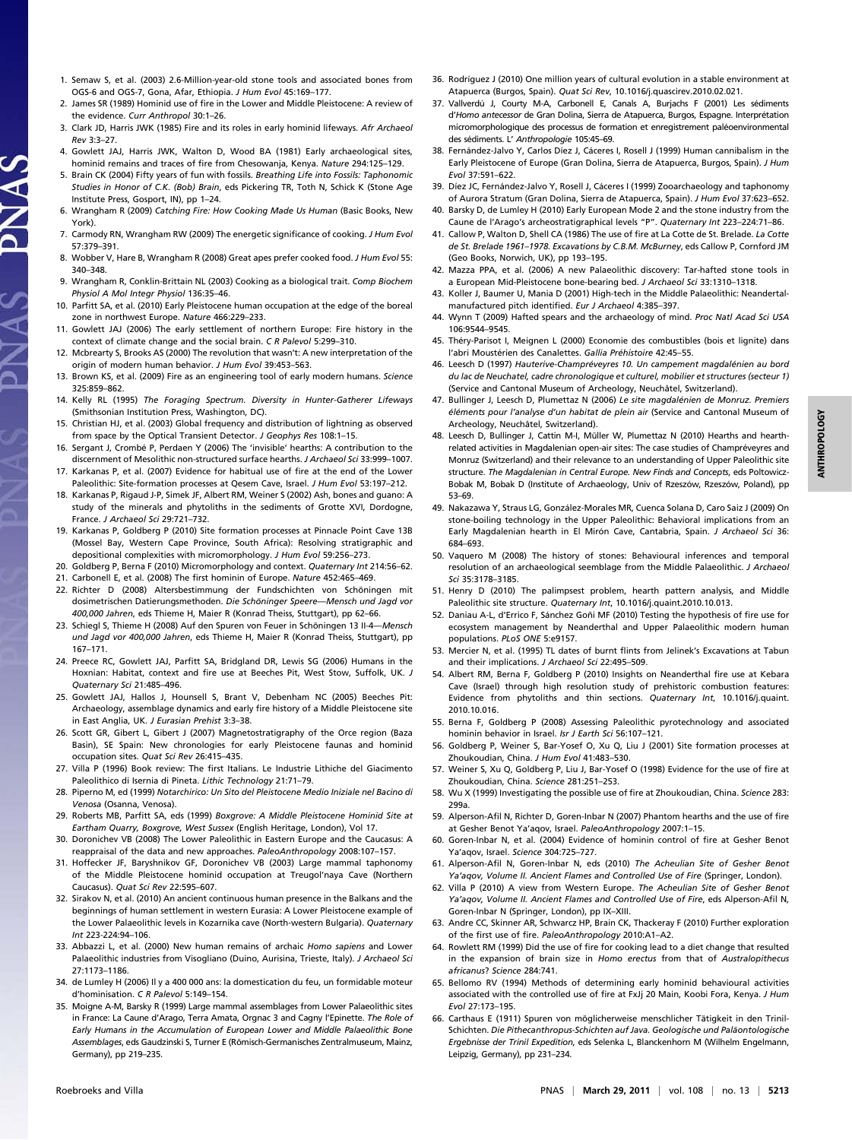- 1. Semaw S, et al. (2003) 2.6-Million-year-old stone tools and associated bones from OGS-6 and OGS-7, Gona, Afar, Ethiopia. J Hum Evol 45:169–177.
- 2. James SR (1989) Hominid use of fire in the Lower and Middle Pleistocene: A review of the evidence. Curr Anthropol 30:1–26.
- 3. Clark JD, Harris JWK (1985) Fire and its roles in early hominid lifeways. Afr Archaeol Rev 3:3–27.
- 4. Gowlett JAJ, Harris JWK, Walton D, Wood BA (1981) Early archaeological sites, hominid remains and traces of fire from Chesowanja, Kenya. Nature 294:125–129.
- 5. Brain CK (2004) Fifty years of fun with fossils. Breathing Life into Fossils: Taphonomic Studies in Honor of C.K. (Bob) Brain, eds Pickering TR, Toth N, Schick K (Stone Age Institute Press, Gosport, IN), pp 1–24.

S A L

- 6. Wrangham R (2009) Catching Fire: How Cooking Made Us Human (Basic Books, New York).
- 7. Carmody RN, Wrangham RW (2009) The energetic significance of cooking. J Hum Evol 57:379–391.
- 8. Wobber V, Hare B, Wrangham R (2008) Great apes prefer cooked food. J Hum Evol 55: 340–348.
- 9. Wrangham R, Conklin-Brittain NL (2003) Cooking as a biological trait. Comp Biochem Physiol A Mol Integr Physiol 136:35–46.
- 10. Parfitt SA, et al. (2010) Early Pleistocene human occupation at the edge of the boreal zone in northwest Europe. Nature 466:229–233.
- 11. Gowlett JAJ (2006) The early settlement of northern Europe: Fire history in the context of climate change and the social brain. C R Palevol 5:299-310.
- 12. Mcbrearty S, Brooks AS (2000) The revolution that wasn't: A new interpretation of the origin of modern human behavior. J Hum Evol 39:453–563.
- 13. Brown KS, et al. (2009) Fire as an engineering tool of early modern humans. Science 325:859–862.
- 14. Kelly RL (1995) The Foraging Spectrum. Diversity in Hunter-Gatherer Lifeways (Smithsonian Institution Press, Washington, DC).
- 15. Christian HJ, et al. (2003) Global frequency and distribution of lightning as observed from space by the Optical Transient Detector. J Geophys Res 108:1–15.
- 16. Sergant J, Crombé P, Perdaen Y (2006) The 'invisible' hearths: A contribution to the discernment of Mesolithic non-structured surface hearths. J Archaeol Sci 33:999–1007.
- 17. Karkanas P, et al. (2007) Evidence for habitual use of fire at the end of the Lower Paleolithic: Site-formation processes at Qesem Cave, Israel. J Hum Evol 53:197-212.
- 18. Karkanas P, Rigaud J-P, Simek JF, Albert RM, Weiner S (2002) Ash, bones and guano: A study of the minerals and phytoliths in the sediments of Grotte XVI, Dordogne, France. J Archaeol Sci 29:721–732.
- 19. Karkanas P, Goldberg P (2010) Site formation processes at Pinnacle Point Cave 13B (Mossel Bay, Western Cape Province, South Africa): Resolving stratigraphic and depositional complexities with micromorphology. J Hum Evol 59:256–273.
- 20. Goldberg P, Berna F (2010) Micromorphology and context. Quaternary Int 214:56–62.
- 21. Carbonell E, et al. (2008) The first hominin of Europe. Nature 452:465–469.
- 22. Richter D (2008) Altersbestimmung der Fundschichten von Schöningen mit dosimetrischen Datierungsmethoden. Die Schöninger Speere—Mensch und Jagd vor 400,000 Jahren, eds Thieme H, Maier R (Konrad Theiss, Stuttgart), pp 62–66.
- 23. Schiegl S, Thieme H (2008) Auf den Spuren von Feuer in Schöningen 13 II-4—Mensch und Jagd vor 400,000 Jahren, eds Thieme H, Maier R (Konrad Theiss, Stuttgart), pp 167–171.
- 24. Preece RC, Gowlett JAJ, Parfitt SA, Bridgland DR, Lewis SG (2006) Humans in the Hoxnian: Habitat, context and fire use at Beeches Pit, West Stow, Suffolk, UK. J Quaternary Sci 21:485–496.
- 25. Gowlett JAJ, Hallos J, Hounsell S, Brant V, Debenham NC (2005) Beeches Pit: Archaeology, assemblage dynamics and early fire history of a Middle Pleistocene site in East Anglia, UK. J Eurasian Prehist 3:3–38.
- 26. Scott GR, Gibert L, Gibert J (2007) Magnetostratigraphy of the Orce region (Baza Basin), SE Spain: New chronologies for early Pleistocene faunas and hominid occupation sites. Quat Sci Rev 26:415–435.
- 27. Villa P (1996) Book review: The first Italians. Le Industrie Lithiche del Giacimento Paleolithico di Isernia di Pineta. Lithic Technology 21:71–79.
- 28. Piperno M, ed (1999) Notarchirico: Un Sito del Pleistocene Medio Iniziale nel Bacino di Venosa (Osanna, Venosa).
- 29. Roberts MB, Parfitt SA, eds (1999) Boxgrove: A Middle Pleistocene Hominid Site at Eartham Quarry, Boxgrove, West Sussex (English Heritage, London), Vol 17.
- 30. Doronichev VB (2008) The Lower Paleolithic in Eastern Europe and the Caucasus: A reappraisal of the data and new approaches. PaleoAnthropology 2008:107–157.
- 31. Hoffecker JF, Baryshnikov GF, Doronichev VB (2003) Large mammal taphonomy of the Middle Pleistocene hominid occupation at Treugol'naya Cave (Northern Caucasus). Quat Sci Rev 22:595–607.
- 32. Sirakov N, et al. (2010) An ancient continuous human presence in the Balkans and the beginnings of human settlement in western Eurasia: A Lower Pleistocene example of the Lower Palaeolithic levels in Kozarnika cave (North-western Bulgaria). Quaternary Int 223-224:94–106.
- 33. Abbazzi L, et al. (2000) New human remains of archaic Homo sapiens and Lower Palaeolithic industries from Visogliano (Duino, Aurisina, Trieste, Italy). J Archaeol Sci 27:1173–1186.
- 34. de Lumley H (2006) Il y a 400 000 ans: la domestication du feu, un formidable moteur d'hominisation. C R Palevol 5:149-154.
- 35. Moigne A-M, Barsky R (1999) Large mammal assemblages from Lower Palaeolithic sites in France: La Caune d'Arago, Terra Amata, Orgnac 3 and Cagny l'Epinette. The Role of Early Humans in the Accumulation of European Lower and Middle Palaeolithic Bone Assemblages, eds Gaudzinski S, Turner E (Römisch-Germanisches Zentralmuseum, Mainz, Germany), pp 219–235.
- 36. Rodríguez J (2010) One million years of cultural evolution in a stable environment at Atapuerca (Burgos, Spain). Quat Sci Rev, 10.1016/j.quascirev.2010.02.021.
- 37. Vallverdú J, Courty M-A, Carbonell E, Canals A, Burjachs F (2001) Les sédiments d'Homo antecessor de Gran Dolina, Sierra de Atapuerca, Burgos, Espagne. Interprétation micromorphologique des processus de formation et enregistrement paléoenvironmental des sédiments. L' Anthropologie 105:45–69.
- 38. Fernández-Jalvo Y, Carlos Díez J, Cáceres I, Rosell J (1999) Human cannibalism in the Early Pleistocene of Europe (Gran Dolina, Sierra de Atapuerca, Burgos, Spain). J Hum Evol 37:591–622.
- 39. Díez JC, Fernández-Jalvo Y, Rosell J, Cáceres I (1999) Zooarchaeology and taphonomy of Aurora Stratum (Gran Dolina, Sierra de Atapuerca, Spain). J Hum Evol 37:623–652.
- 40. Barsky D, de Lumley H (2010) Early European Mode 2 and the stone industry from the Caune de l'Arago's archeostratigraphical levels "P". Quaternary Int 223–224:71–86.
- 41. Callow P, Walton D, Shell CA (1986) The use of fire at La Cotte de St. Brelade. La Cotte de St. Brelade 1961–1978. Excavations by C.B.M. McBurney, eds Callow P, Cornford JM (Geo Books, Norwich, UK), pp 193–195.
- 42. Mazza PPA, et al. (2006) A new Palaeolithic discovery: Tar-hafted stone tools in a European Mid-Pleistocene bone-bearing bed. J Archaeol Sci 33:1310–1318.
- 43. Koller J, Baumer U, Mania D (2001) High-tech in the Middle Palaeolithic: Neandertalmanufactured pitch identified. Eur J Archaeol 4:385–397.
- 44. Wynn T (2009) Hafted spears and the archaeology of mind. Proc Natl Acad Sci USA 106:9544–9545.
- 45. Théry-Parisot I, Meignen L (2000) Economie des combustibles (bois et lignite) dans l'abri Moustérien des Canalettes. Gallia Préhistoire 42:45–55.
- 46. Leesch D (1997) Hauterive-Champréveyres 10. Un campement magdalénien au bord du lac de Neuchatel, cadre chronologique et culturel, mobilier et structures (secteur 1) (Service and Cantonal Museum of Archeology, Neuchâtel, Switzerland).
- 47. Bullinger J, Leesch D, Plumettaz N (2006) Le site magdalénien de Monruz. Premiers éléments pour l'analyse d'un habitat de plein air (Service and Cantonal Museum of Archeology, Neuchâtel, Switzerland).
- 48. Leesch D, Bullinger J, Cattin M-I, Müller W, Plumettaz N (2010) Hearths and hearthrelated activities in Magdalenian open-air sites: The case studies of Champréveyres and Monruz (Switzerland) and their relevance to an understanding of Upper Paleolithic site structure. The Magdalenian in Central Europe. New Finds and Concepts, eds Poltowicz-Bobak M, Bobak D (Institute of Archaeology, Univ of Rzeszów, Rzeszów, Poland), pp 53–69.
- 49. Nakazawa Y, Straus LG, González-Morales MR, Cuenca Solana D, Caro Saiz J (2009) On stone-boiling technology in the Upper Paleolithic: Behavioral implications from an Early Magdalenian hearth in El Mirón Cave, Cantabria, Spain. J Archaeol Sci 36: 684–693.
- 50. Vaquero M (2008) The history of stones: Behavioural inferences and temporal resolution of an archaeological seemblage from the Middle Palaeolithic. J Archaeol Sci 35:3178–3185.
- 51. Henry D (2010) The palimpsest problem, hearth pattern analysis, and Middle Paleolithic site structure. Quaternary Int, 10.1016/j.quaint.2010.10.013.
- 52. Daniau A-L, d'Errico F, Sánchez Goñi MF (2010) Testing the hypothesis of fire use for ecosystem management by Neanderthal and Upper Palaeolithic modern human populations. PLoS ONE 5:e9157.
- 53. Mercier N, et al. (1995) TL dates of burnt flints from Jelinek's Excavations at Tabun and their implications. J Archaeol Sci 22:495–509.
- 54. Albert RM, Berna F, Goldberg P (2010) Insights on Neanderthal fire use at Kebara Cave (Israel) through high resolution study of prehistoric combustion features: Evidence from phytoliths and thin sections. Quaternary Int, 10.1016/j.quaint. 2010.10.016.
- 55. Berna F, Goldberg P (2008) Assessing Paleolithic pyrotechnology and associated hominin behavior in Israel. Isr J Earth Sci 56:107–121.
- 56. Goldberg P, Weiner S, Bar-Yosef O, Xu Q, Liu J (2001) Site formation processes at Zhoukoudian, China. J Hum Evol 41:483–530.
- 57. Weiner S, Xu Q, Goldberg P, Liu J, Bar-Yosef O (1998) Evidence for the use of fire at Zhoukoudian, China. Science 281:251–253.
- 58. Wu X (1999) Investigating the possible use of fire at Zhoukoudian, China. Science 283: 299a.
- 59. Alperson-Afil N, Richter D, Goren-Inbar N (2007) Phantom hearths and the use of fire at Gesher Benot Ya'aqov, Israel. PaleoAnthropology 2007:1–15.
- 60. Goren-Inbar N, et al. (2004) Evidence of hominin control of fire at Gesher Benot Ya'aqov, Israel. Science 304:725–727.
- 61. Alperson-Afil N, Goren-Inbar N, eds (2010) The Acheulian Site of Gesher Benot Ya'aqov, Volume II. Ancient Flames and Controlled Use of Fire (Springer, London).
- 62. Villa P (2010) A view from Western Europe. The Acheulian Site of Gesher Benot Ya'aqov, Volume II. Ancient Flames and Controlled Use of Fire, eds Alperson-Afil N, Goren-Inbar N (Springer, London), pp IX–XIII.
- 63. Andre CC, Skinner AR, Schwarcz HP, Brain CK, Thackeray F (2010) Further exploration of the first use of fire. PaleoAnthropology 2010:A1–A2.
- 64. Rowlett RM (1999) Did the use of fire for cooking lead to a diet change that resulted in the expansion of brain size in Homo erectus from that of Australopithecus africanus? Science 284:741.
- 65. Bellomo RV (1994) Methods of determining early hominid behavioural activities associated with the controlled use of fire at FxJj 20 Main, Koobi Fora, Kenya. J Hum Evol 27:173–195.
- 66. Carthaus E (1911) Spuren von möglicherweise menschlicher Tätigkeit in den Trinil-Schichten. Die Pithecanthropus-Schichten auf Java. Geologische und Paläontologische Ergebnisse der Trinil Expedition, eds Selenka L, Blanckenhorn M (Wilhelm Engelmann, Leipzig, Germany), pp 231–234.